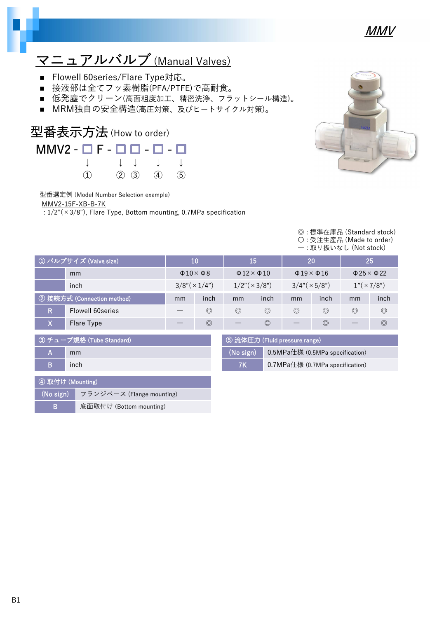

### マニュアルバルブ(Manual Valves)

- Flowell 60series/Flare Type対応。
- 接液部は全てフッ素樹脂(PFA/PTFE)で高耐食。
- 低発塵でクリーン(高面粗度加工、精密洗浄、フラットシール構造)。
- MRM独自の安全構造(高圧対策、及びヒートサイクル対策)。

#### 型番表示方法(How to order)  $MMV2 -$   $F -$   $F -$   $F -$ ٦ ↓ ↓ ↓ ↓ ↓ ① ② ③ ④ ⑤

型番選定例 (Model Number Selection example)

MMV2-15F-XB-B-7K

 $\sqrt{1/2^{\pi}(x^2/8^{\pi})}$ , Flare Type, Bottom mounting, 0.7MPa specification



#### ◎ : 標準在庫品 (Standard stock) 〇 : 受注生産品 (Made to order) ― : 取り扱いなし (Not stock)

| ① バルブサイズ (Valve size)                                        |                   |    | 10                          |                | 15                           |                          | <b>20</b>                    |                   | 25 <sub>l</sub>              |
|--------------------------------------------------------------|-------------------|----|-----------------------------|----------------|------------------------------|--------------------------|------------------------------|-------------------|------------------------------|
|                                                              | mm                |    | $\Phi$ 10 $\times$ $\Phi$ 8 |                | $\Phi$ 12 $\times$ $\Phi$ 10 |                          | $\Phi$ 19 $\times$ $\Phi$ 16 |                   | $\Phi$ 25 $\times$ $\Phi$ 22 |
|                                                              | inch              |    | $3/8$ " $(\times 1/4)$ "    |                | $1/2$ " $(\times 3/8)$ "     | $3/4$ " $(\times 5/8)$ " |                              | $1"(\times 7/8")$ |                              |
| ② 接続方式 (Connection method)                                   |                   | mm | inch                        | mm             | inch                         | mm                       | inch                         | mm                | inch                         |
| IR.                                                          | Flowell 60 series |    | $\circledcirc$              | $\circledcirc$ | $\circledcirc$               | $\circledcirc$           | $\circledcirc$               | $\circledcirc$    | $\circledcirc$               |
| X<br>Flare Type                                              |                   |    | $\circledcirc$              |                | $\circledcirc$               |                          | $\circledcirc$               |                   | $\circledcirc$               |
| ③ チューブ規格 (Tube Standard) <br>(5) 流体圧力 (Fluid pressure range) |                   |    |                             |                |                              |                          |                              |                   |                              |

| А                                                  | mm   |  |  |
|----------------------------------------------------|------|--|--|
| в                                                  | inch |  |  |
|                                                    |      |  |  |
| $\bigcap_{i=1}^n$ The $i$ is the $i$ in $i$ in $i$ |      |  |  |

| ④ 取付け (Mounting) |                                     |  |  |  |  |
|------------------|-------------------------------------|--|--|--|--|
|                  | (No sign) フランジベース (Flange mounting) |  |  |  |  |
| в                | 底面取付け (Bottom mounting)             |  |  |  |  |

| ⑤ 流体圧力 (Fluid pressure range) |                                 |  |  |  |
|-------------------------------|---------------------------------|--|--|--|
| (No sign)                     | 0.5MPa仕様 (0.5MPa specification) |  |  |  |
| <b>7K</b>                     | 0.7MPa仕様 (0.7MPa specification) |  |  |  |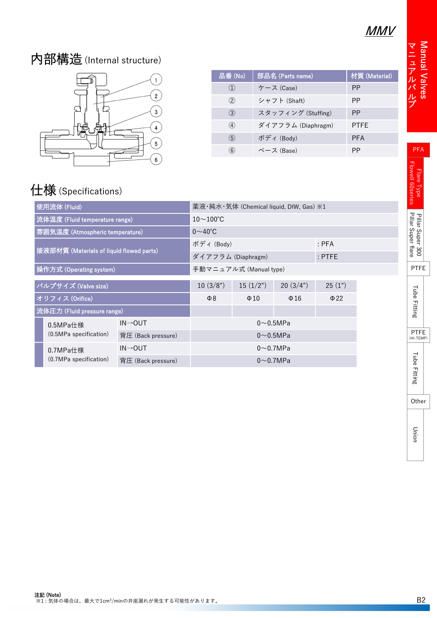#### MMV

#### 内部構造(Internal structure)



| 品番(No)              | 部品名 (Parts name)   | 材質 (Material) |
|---------------------|--------------------|---------------|
| $\langle 1 \rangle$ | ケース (Case)         | РP            |
| $\circled{2}$       | シャフト (Shaft)       | РP            |
| $\circled{3}$       | スタッフィング (Stuffing) | <b>PP</b>     |
| 4                   | ダイアフラム (Diaphragm) | <b>PTFE</b>   |
| $\circledS$         | ボディ (Body)         | <b>PFA</b>    |
| 6                   | ベース (Base)         | РP            |

### 仕様(Specifications)

| 使用流体 (Fluid)                             |                        | 薬液·純水·気体 (Chemical liquid, DIW, Gas) ※1 |                       |                 |           |          |  |
|------------------------------------------|------------------------|-----------------------------------------|-----------------------|-----------------|-----------|----------|--|
| 流体温度 (Fluid temperature range)           |                        |                                         | $10\sim100^{\circ}$ C |                 |           |          |  |
| 雰囲気温度 (Atmospheric temperature)          |                        | $0\sim 40^{\circ}$ C                    |                       |                 |           |          |  |
|                                          |                        |                                         | ボディ (Body)            |                 |           | $:$ PFA  |  |
| 接液部材質 (Materials of liquid flowed parts) |                        |                                         | ダイアフラム (Diaphragm)    |                 |           | $:$ PTFE |  |
| 操作方式 (Operating system)                  |                        | 手動マニュアル式 (Manual type)                  |                       |                 |           |          |  |
| バルブサイズ (Valve size)                      |                        | 10(3/8")                                | 15(1/2")              | 20(3/4")        | 25(1")    |          |  |
| オリフィス (Orifice)                          |                        | $\Phi$ 8                                | $\Phi$ 10             | $\Phi$ 16       | $\Phi$ 22 |          |  |
| 流体圧力 (Fluid pressure range)              |                        |                                         |                       |                 |           |          |  |
|                                          | 0.5MPa仕様               | $IN \rightarrow OUT$                    | $0\neg$ 0.5MPa        |                 |           |          |  |
|                                          | (0.5MPa specification) | 背圧 (Back pressure)                      |                       | $0\sim 0.5$ MPa |           |          |  |
|                                          | 0.7MPa仕様               | $IN \rightarrow OUT$                    | $0\sim$ 0.7MPa        |                 |           |          |  |
| (0.7MPa specification)                   |                        | 背圧 (Back pressure)                      | $0\sim$ 0.7MPa        |                 |           |          |  |

Wanual V alv e s マニュアルバルブ

Flare Type<br>Flowell 60series

PFA

Union

Tube Fitting

**Tube Fitting**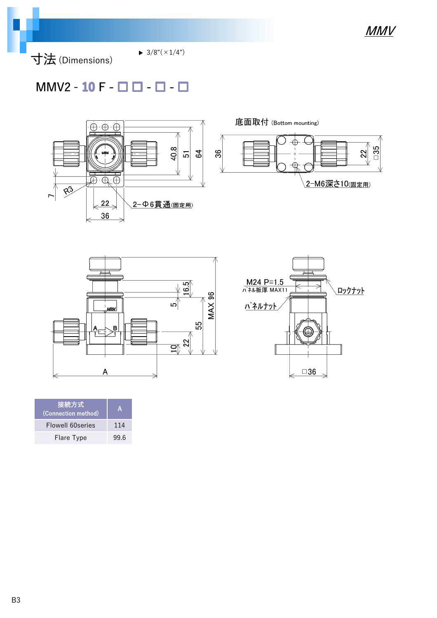

寸法(Dimensions)

 $\blacktriangleright$  3/8"( $\times$ 1/4")

#### $MMV2 - 10 F - \Box$   $\Box$  -  $\Box$  -  $\Box$







| 接続方式<br>(Connection method) | А    |
|-----------------------------|------|
| Flowell 60 series           | 114  |
| Flare Type                  | 99.6 |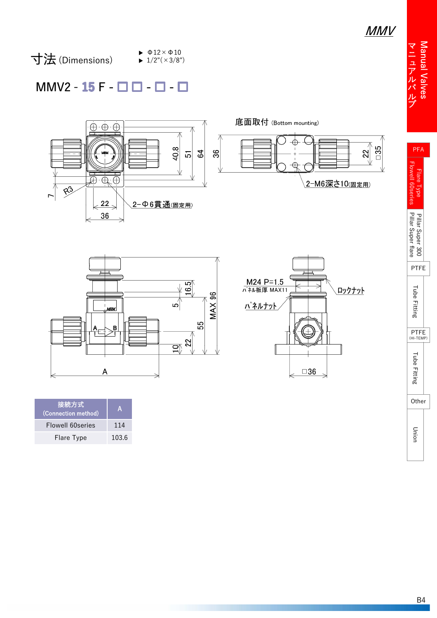Manual Valves マニュアルバルブマニュアルバルブ



 $\blacktriangleright$   $\Phi$ 12  $\times$   $\Phi$ 10  $\blacktriangleright$  1/2"( $\times$ 3/8")

#### MMV2 - 15 F - □ □ - □ -





| 接続方式<br>(Connection method) | A     |
|-----------------------------|-------|
| Flowell 60 series           | 114   |
| Flare Type                  | 103.6 |



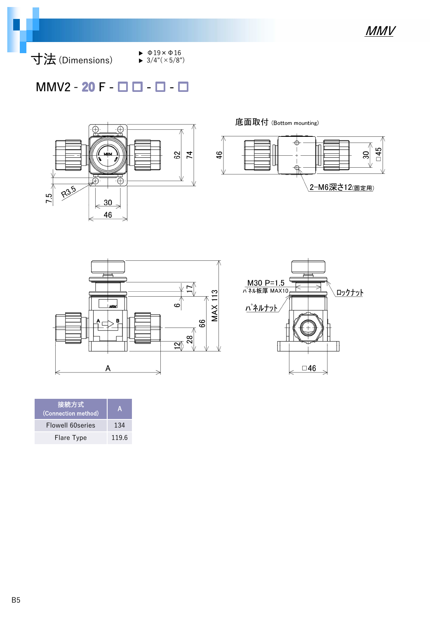

寸法(Dimensions)

 $\blacktriangleright$   $\Phi$ 19  $\times$   $\Phi$ 16  $\blacktriangleright$  3/4"( $\times$ 5/8")

#### $MMV2 - 20 F - \Box$   $\Box$  -  $\Box$  -  $\Box$



底面取付 (Bottom mounting)  $\rightarrow$  $-45$  $\frac{4}{6}$  $30\,$  $\frac{1}{\mathcal{R}}$ 2-M6深さ12(固定用)





| <sup>'</sup> 接続方式<br>(Connection method) | А     |
|------------------------------------------|-------|
| Flowell 60 series                        | 134   |
| Flare Type                               | 119.6 |